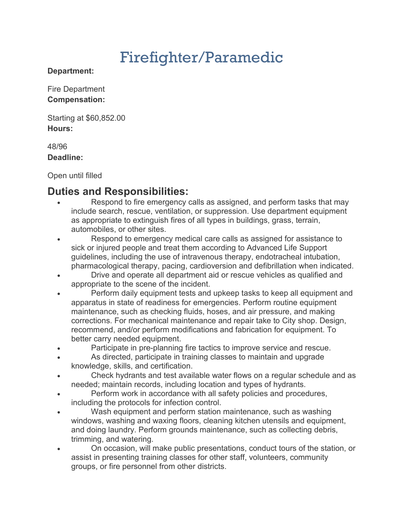# Firefighter/Paramedic

#### **Department:**

Fire Department **Compensation:**

Starting at \$60,852.00 **Hours:**

#### 48/96 **Deadline:**

Open until filled

## **Duties and Responsibilities:**

- Respond to fire emergency calls as assigned, and perform tasks that may include search, rescue, ventilation, or suppression. Use department equipment as appropriate to extinguish fires of all types in buildings, grass, terrain, automobiles, or other sites.
- Respond to emergency medical care calls as assigned for assistance to sick or injured people and treat them according to Advanced Life Support guidelines, including the use of intravenous therapy, endotracheal intubation, pharmacological therapy, pacing, cardioversion and defibrillation when indicated.
- Drive and operate all department aid or rescue vehicles as qualified and appropriate to the scene of the incident.
- Perform daily equipment tests and upkeep tasks to keep all equipment and apparatus in state of readiness for emergencies. Perform routine equipment maintenance, such as checking fluids, hoses, and air pressure, and making corrections. For mechanical maintenance and repair take to City shop. Design, recommend, and/or perform modifications and fabrication for equipment. To better carry needed equipment.
- Participate in pre-planning fire tactics to improve service and rescue.
- As directed, participate in training classes to maintain and upgrade knowledge, skills, and certification.
- Check hydrants and test available water flows on a regular schedule and as needed; maintain records, including location and types of hydrants.
- Perform work in accordance with all safety policies and procedures, including the protocols for infection control.
- Wash equipment and perform station maintenance, such as washing windows, washing and waxing floors, cleaning kitchen utensils and equipment, and doing laundry. Perform grounds maintenance, such as collecting debris, trimming, and watering.
- On occasion, will make public presentations, conduct tours of the station, or assist in presenting training classes for other staff, volunteers, community groups, or fire personnel from other districts.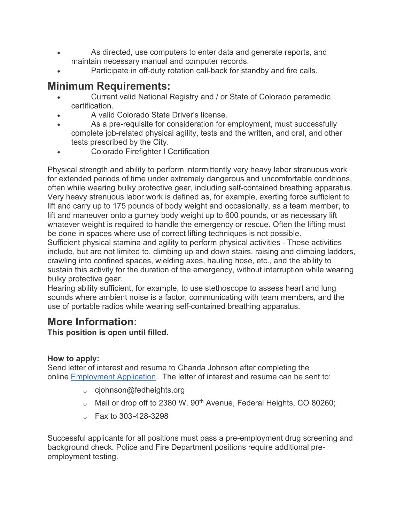- As directed, use computers to enter data and generate reports, and maintain necessary manual and computer records.
- Participate in off-duty rotation call-back for standby and fire calls.

## **Minimum Requirements:**

- Current valid National Registry and / or State of Colorado paramedic certification.
- A valid Colorado State Driver's license.
- As a pre-requisite for consideration for employment, must successfully complete job-related physical agility, tests and the written, and oral, and other tests prescribed by the City.
- Colorado Firefighter I Certification

Physical strength and ability to perform intermittently very heavy labor strenuous work for extended periods of time under extremely dangerous and uncomfortable conditions, often while wearing bulky protective gear, including self-contained breathing apparatus. Very heavy strenuous labor work is defined as, for example, exerting force sufficient to lift and carry up to 175 pounds of body weight and occasionally, as a team member, to lift and maneuver onto a gurney body weight up to 600 pounds, or as necessary lift whatever weight is required to handle the emergency or rescue. Often the lifting must be done in spaces where use of correct lifting techniques is not possible.

Sufficient physical stamina and agility to perform physical activities - These activities include, but are not limited to, climbing up and down stairs, raising and climbing ladders, crawling into confined spaces, wielding axes, hauling hose, etc., and the ability to sustain this activity for the duration of the emergency, without interruption while wearing bulky protective gear.

Hearing ability sufficient, for example, to use stethoscope to assess heart and lung sounds where ambient noise is a factor, communicating with team members, and the use of portable radios while wearing self-contained breathing apparatus.

## **More Information:**

**This position is open until filled.**

### **How to apply:**

Send letter of interest and resume to Chanda Johnson after completing the online [Employment Application.](https://docs.google.com/forms/d/e/1FAIpQLSe4K00vzVGtd_6QFJdV4P6LNKiBqR4QFI4P_j_n-vCTpBUuZQ/viewform) The letter of interest and resume can be sent to:

- $\circ$  cjohnson@fedheights.org
- $\circ$  Mail or drop off to 2380 W. 90<sup>th</sup> Avenue, Federal Heights, CO 80260;
- $\circ$  Fax to 303-428-3298

Successful applicants for all positions must pass a pre-employment drug screening and background check. Police and Fire Department positions require additional preemployment testing.